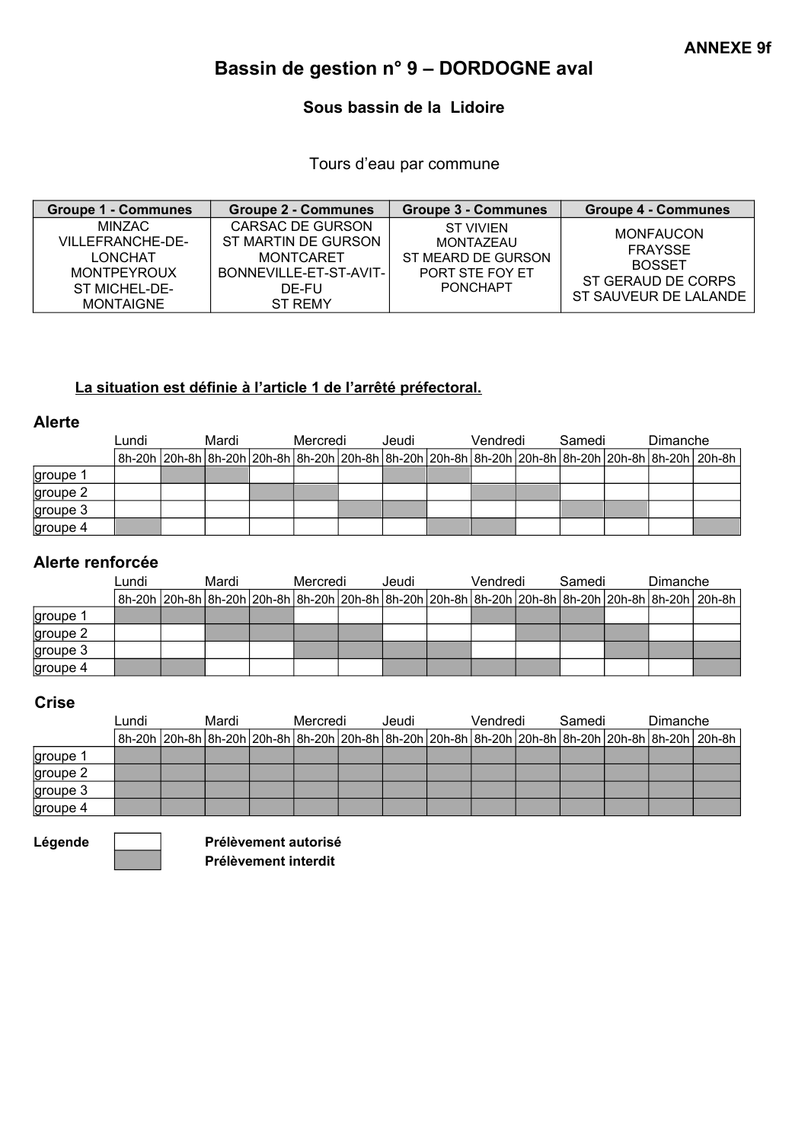# Bassin de gestion n° 9 – DORDOGNE aval

## Sous bassin de la Lidoire

Tours d'eau par commune

| <b>Groupe 1 - Communes</b>                                                                              | <b>Groupe 2 - Communes</b>                                                                                | <b>Groupe 3 - Communes</b>                                                  | <b>Groupe 4 - Communes</b>                                                                  |
|---------------------------------------------------------------------------------------------------------|-----------------------------------------------------------------------------------------------------------|-----------------------------------------------------------------------------|---------------------------------------------------------------------------------------------|
| MINZAC<br>VILLEFRANCHE-DE-<br><b>LONCHAT</b><br><b>MONTPEYROUX</b><br>ST MICHEL-DE-<br><b>MONTAIGNE</b> | CARSAC DE GURSON<br>ST MARTIN DE GURSON<br><b>MONTCARET</b><br>BONNEVILLE-ET-ST-AVIT-<br>DE-FU<br>ST REMY | ST VIVIEN<br>MONTAZEAU<br>ST MEARD DE GURSON<br>PORT STE FOY ET<br>PONCHAPT | <b>MONFAUCON</b><br>FRAYSSE<br><b>BOSSET</b><br>ST GERAUD DE CORPS<br>ST SAUVEUR DE LALANDE |

### La situation est définie à l'article 1 de l'arrêté préfectoral.

#### Alerte

|          | Lundi | Mardi |  | Mercredi | Jeudi | Vendredi | Samedi | Dimanche |                                                                                                                 |
|----------|-------|-------|--|----------|-------|----------|--------|----------|-----------------------------------------------------------------------------------------------------------------|
|          |       |       |  |          |       |          |        |          | 8h-20h 20h-8h 8h-20h 20h-8h 8h-20h 20h-8h 8h-20h 20h-8h 8h-20h 20h-8h 8h-20h 20h-8h 8h-20h 20h-8h 8h-20h 20h-8h |
| groupe 1 |       |       |  |          |       |          |        |          |                                                                                                                 |
| groupe 2 |       |       |  |          |       |          |        |          |                                                                                                                 |
| groupe 3 |       |       |  |          |       |          |        |          |                                                                                                                 |
| groupe 4 |       |       |  |          |       |          |        |          |                                                                                                                 |

## Alerte renforcée

|          | Lundi | Mardi |  | Mercredi | Jeudi | Vendredi | Samedi | Dimanche |                                                                                                                                               |
|----------|-------|-------|--|----------|-------|----------|--------|----------|-----------------------------------------------------------------------------------------------------------------------------------------------|
|          |       |       |  |          |       |          |        |          | 8h-20h   20h-8h   8h-20h   20h-8h   8h-20h   20h-8h   8h-20h   20h-8h   8h-20h   20h-8h   8h-20h   20h-8h   8h-20h   20h-8h   8h-20h   20h-8h |
| groupe 1 |       |       |  |          |       |          |        |          |                                                                                                                                               |
| groupe 2 |       |       |  |          |       |          |        |          |                                                                                                                                               |
| groupe 3 |       |       |  |          |       |          |        |          |                                                                                                                                               |
| groupe 4 |       |       |  |          |       |          |        |          |                                                                                                                                               |

#### **Crise**

|          | Lundi | Mardi |  | Mercredi | Jeudi | Vendredi | Samedi | Dimanche |                                                                                                                 |
|----------|-------|-------|--|----------|-------|----------|--------|----------|-----------------------------------------------------------------------------------------------------------------|
|          |       |       |  |          |       |          |        |          | 8h-20h  20h-8h  8h-20h  20h-8h  8h-20h  20h-8h  8h-20h  20h-8h  8h-20h  20h-8h  8h-20h  20h-8h  8h-20h   20h-8h |
| groupe 1 |       |       |  |          |       |          |        |          |                                                                                                                 |
| groupe 2 |       |       |  |          |       |          |        |          |                                                                                                                 |
| groupe 3 |       |       |  |          |       |          |        |          |                                                                                                                 |
| groupe 4 |       |       |  |          |       |          |        |          |                                                                                                                 |

Légende **Thumann** Prélèvement autorisé Prélèvement interdit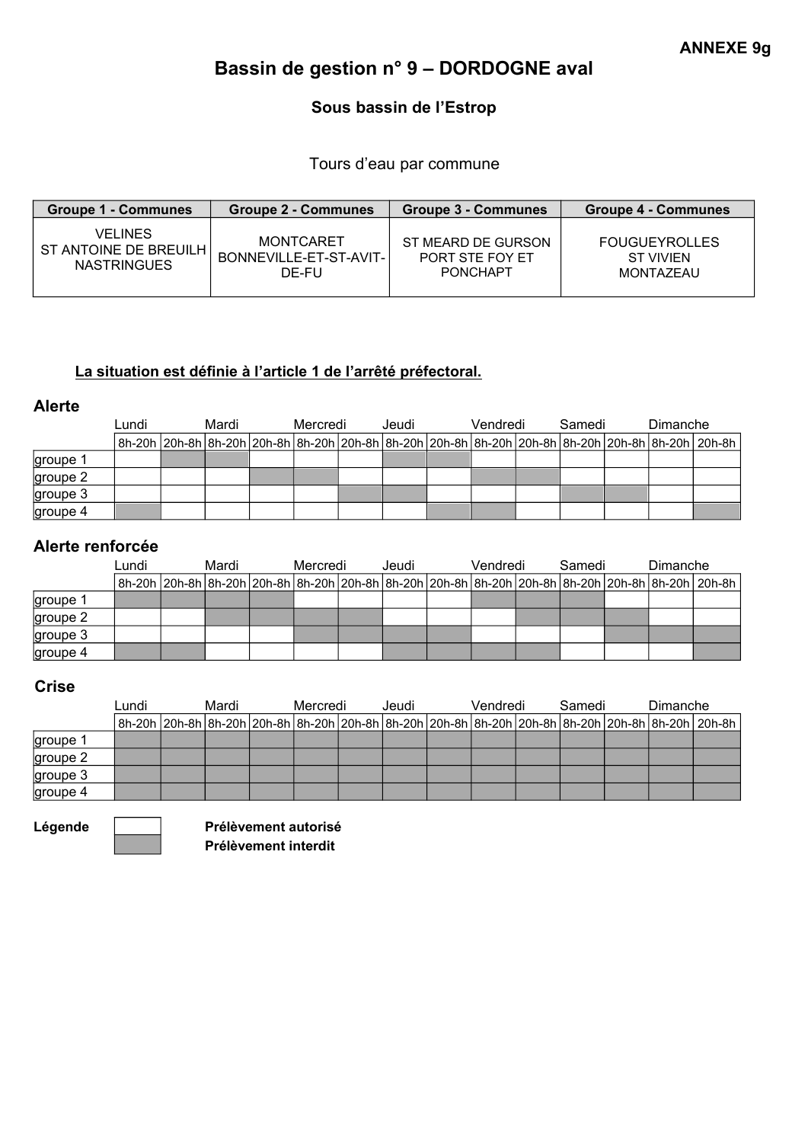# Bassin de gestion n° 9 – DORDOGNE aval

# Sous bassin de l'Estrop

Tours d'eau par commune

| <b>Groupe 1 - Communes</b> | <b>Groupe 2 - Communes</b> | <b>Groupe 3 - Communes</b> | <b>Groupe 4 - Communes</b> |
|----------------------------|----------------------------|----------------------------|----------------------------|
| VELINES                    | MONTCARET                  | ST MEARD DE GURSON         | <b>FOUGUEYROLLES</b>       |
| ST ANTOINE DE BREUILH I    | BONNEVILLE-ET-ST-AVIT-     | PORT STE FOY ET            | ST VIVIEN                  |
| <b>NASTRINGUES</b>         | DE-FU                      | <b>PONCHAPT</b>            | <b>MONTAZEAU</b>           |

## La situation est définie à l'article 1 de l'arrêté préfectoral.

#### Alerte

|          | Lundi | Mardi |  | Mercredi | Jeudi | Vendredi | Samedi | Dimanche |  |                                                                                                                                               |
|----------|-------|-------|--|----------|-------|----------|--------|----------|--|-----------------------------------------------------------------------------------------------------------------------------------------------|
|          |       |       |  |          |       |          |        |          |  | 8h-20h   20h-8h   8h-20h   20h-8h   8h-20h   20h-8h   8h-20h   20h-8h   8h-20h   20h-8h   8h-20h   20h-8h   8h-20h   20h-8h   8h-20h   20h-8h |
| groupe 1 |       |       |  |          |       |          |        |          |  |                                                                                                                                               |
| groupe 2 |       |       |  |          |       |          |        |          |  |                                                                                                                                               |
| groupe 3 |       |       |  |          |       |          |        |          |  |                                                                                                                                               |
| groupe 4 |       |       |  |          |       |          |        |          |  |                                                                                                                                               |

## Alerte renforcée

|          | Lundi | Mardi |  | Mercredi | Jeudi | Vendredi | Samedi | Dimanche |                                                                                                                                               |
|----------|-------|-------|--|----------|-------|----------|--------|----------|-----------------------------------------------------------------------------------------------------------------------------------------------|
|          |       |       |  |          |       |          |        |          | 8h-20h   20h-8h   8h-20h   20h-8h   8h-20h   20h-8h   8h-20h   20h-8h   8h-20h   20h-8h   8h-20h   20h-8h   8h-20h   20h-8h   8h-20h   20h-8h |
| groupe 1 |       |       |  |          |       |          |        |          |                                                                                                                                               |
| groupe 2 |       |       |  |          |       |          |        |          |                                                                                                                                               |
| groupe 3 |       |       |  |          |       |          |        |          |                                                                                                                                               |
| groupe 4 |       |       |  |          |       |          |        |          |                                                                                                                                               |

#### **Crise**

|          | Mardi<br>Lundi |  | Mercredi | Jeudi | Vendredi | Samedi | Dimanche |  |                                                                                                                                                                 |
|----------|----------------|--|----------|-------|----------|--------|----------|--|-----------------------------------------------------------------------------------------------------------------------------------------------------------------|
|          |                |  |          |       |          |        |          |  | 8h-20h   20h-8h   8h-20h   20h-8h   8h-20h   20h-8h   8h-20h   20h-8h   8h-20h   20h-8h   8h-20h   20h-8h   8h-20h   20h-8h   8h-20h   20h-8h   8h-20h   20h-8h |
| groupe 1 |                |  |          |       |          |        |          |  |                                                                                                                                                                 |
| groupe 2 |                |  |          |       |          |        |          |  |                                                                                                                                                                 |
| groupe 3 |                |  |          |       |          |        |          |  |                                                                                                                                                                 |
| groupe 4 |                |  |          |       |          |        |          |  |                                                                                                                                                                 |

Légende **Thumann** Prélèvement autorisé Prélèvement interdit